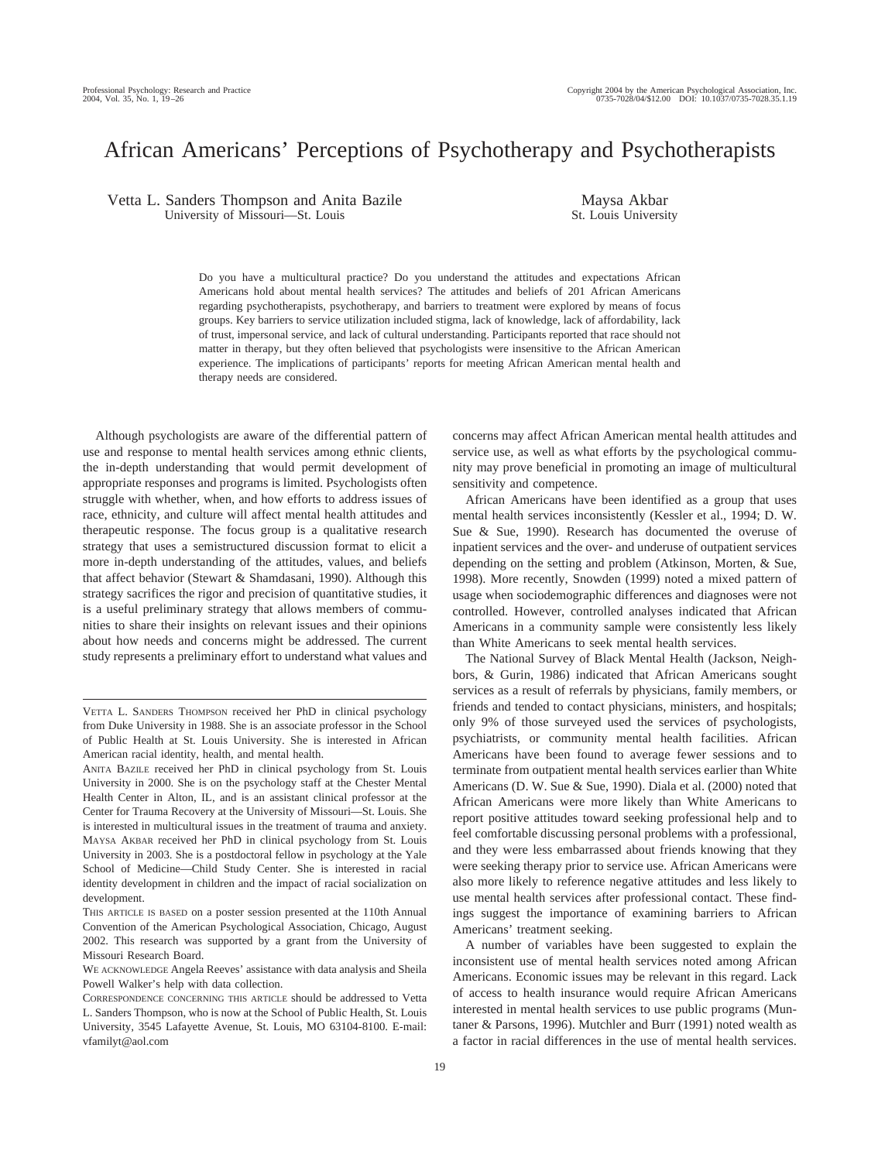# African Americans' Perceptions of Psychotherapy and Psychotherapists

Vetta L. Sanders Thompson and Anita Bazile University of Missouri—St. Louis

Maysa Akbar St. Louis University

Do you have a multicultural practice? Do you understand the attitudes and expectations African Americans hold about mental health services? The attitudes and beliefs of 201 African Americans regarding psychotherapists, psychotherapy, and barriers to treatment were explored by means of focus groups. Key barriers to service utilization included stigma, lack of knowledge, lack of affordability, lack of trust, impersonal service, and lack of cultural understanding. Participants reported that race should not matter in therapy, but they often believed that psychologists were insensitive to the African American experience. The implications of participants' reports for meeting African American mental health and therapy needs are considered.

Although psychologists are aware of the differential pattern of use and response to mental health services among ethnic clients, the in-depth understanding that would permit development of appropriate responses and programs is limited. Psychologists often struggle with whether, when, and how efforts to address issues of race, ethnicity, and culture will affect mental health attitudes and therapeutic response. The focus group is a qualitative research strategy that uses a semistructured discussion format to elicit a more in-depth understanding of the attitudes, values, and beliefs that affect behavior (Stewart & Shamdasani, 1990). Although this strategy sacrifices the rigor and precision of quantitative studies, it is a useful preliminary strategy that allows members of communities to share their insights on relevant issues and their opinions about how needs and concerns might be addressed. The current study represents a preliminary effort to understand what values and

THIS ARTICLE IS BASED on a poster session presented at the 110th Annual Convention of the American Psychological Association, Chicago, August 2002. This research was supported by a grant from the University of Missouri Research Board.

WE ACKNOWLEDGE Angela Reeves' assistance with data analysis and Sheila Powell Walker's help with data collection.

concerns may affect African American mental health attitudes and service use, as well as what efforts by the psychological community may prove beneficial in promoting an image of multicultural sensitivity and competence.

African Americans have been identified as a group that uses mental health services inconsistently (Kessler et al., 1994; D. W. Sue & Sue, 1990). Research has documented the overuse of inpatient services and the over- and underuse of outpatient services depending on the setting and problem (Atkinson, Morten, & Sue, 1998). More recently, Snowden (1999) noted a mixed pattern of usage when sociodemographic differences and diagnoses were not controlled. However, controlled analyses indicated that African Americans in a community sample were consistently less likely than White Americans to seek mental health services.

The National Survey of Black Mental Health (Jackson, Neighbors, & Gurin, 1986) indicated that African Americans sought services as a result of referrals by physicians, family members, or friends and tended to contact physicians, ministers, and hospitals; only 9% of those surveyed used the services of psychologists, psychiatrists, or community mental health facilities. African Americans have been found to average fewer sessions and to terminate from outpatient mental health services earlier than White Americans (D. W. Sue & Sue, 1990). Diala et al. (2000) noted that African Americans were more likely than White Americans to report positive attitudes toward seeking professional help and to feel comfortable discussing personal problems with a professional, and they were less embarrassed about friends knowing that they were seeking therapy prior to service use. African Americans were also more likely to reference negative attitudes and less likely to use mental health services after professional contact. These findings suggest the importance of examining barriers to African Americans' treatment seeking.

A number of variables have been suggested to explain the inconsistent use of mental health services noted among African Americans. Economic issues may be relevant in this regard. Lack of access to health insurance would require African Americans interested in mental health services to use public programs (Muntaner & Parsons, 1996). Mutchler and Burr (1991) noted wealth as a factor in racial differences in the use of mental health services.

VETTA L. SANDERS THOMPSON received her PhD in clinical psychology from Duke University in 1988. She is an associate professor in the School of Public Health at St. Louis University. She is interested in African American racial identity, health, and mental health.

ANITA BAZILE received her PhD in clinical psychology from St. Louis University in 2000. She is on the psychology staff at the Chester Mental Health Center in Alton, IL, and is an assistant clinical professor at the Center for Trauma Recovery at the University of Missouri—St. Louis. She is interested in multicultural issues in the treatment of trauma and anxiety. MAYSA AKBAR received her PhD in clinical psychology from St. Louis University in 2003. She is a postdoctoral fellow in psychology at the Yale School of Medicine—Child Study Center. She is interested in racial identity development in children and the impact of racial socialization on development.

CORRESPONDENCE CONCERNING THIS ARTICLE should be addressed to Vetta L. Sanders Thompson, who is now at the School of Public Health, St. Louis University, 3545 Lafayette Avenue, St. Louis, MO 63104-8100. E-mail: vfamilyt@aol.com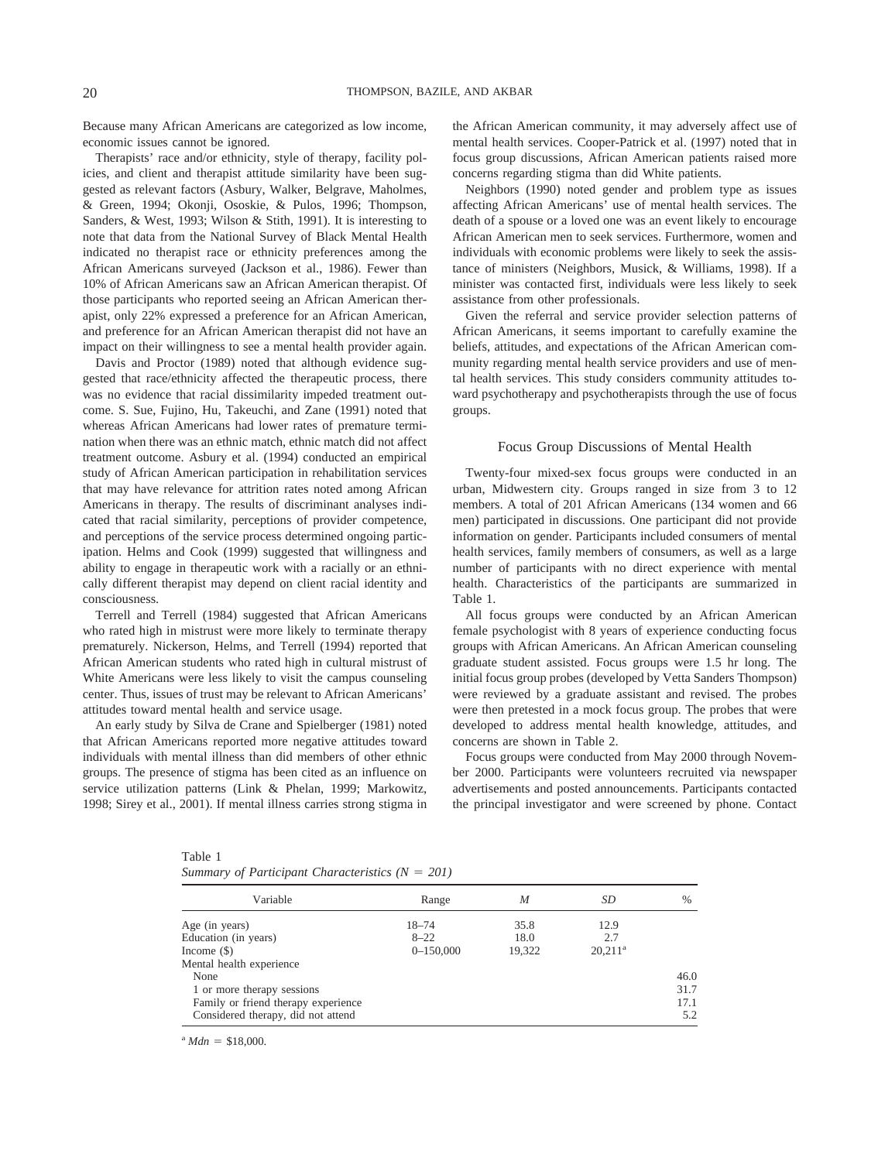Because many African Americans are categorized as low income, economic issues cannot be ignored.

Therapists' race and/or ethnicity, style of therapy, facility policies, and client and therapist attitude similarity have been suggested as relevant factors (Asbury, Walker, Belgrave, Maholmes, & Green, 1994; Okonji, Ososkie, & Pulos, 1996; Thompson, Sanders, & West, 1993; Wilson & Stith, 1991). It is interesting to note that data from the National Survey of Black Mental Health indicated no therapist race or ethnicity preferences among the African Americans surveyed (Jackson et al., 1986). Fewer than 10% of African Americans saw an African American therapist. Of those participants who reported seeing an African American therapist, only 22% expressed a preference for an African American, and preference for an African American therapist did not have an impact on their willingness to see a mental health provider again.

Davis and Proctor (1989) noted that although evidence suggested that race/ethnicity affected the therapeutic process, there was no evidence that racial dissimilarity impeded treatment outcome. S. Sue, Fujino, Hu, Takeuchi, and Zane (1991) noted that whereas African Americans had lower rates of premature termination when there was an ethnic match, ethnic match did not affect treatment outcome. Asbury et al. (1994) conducted an empirical study of African American participation in rehabilitation services that may have relevance for attrition rates noted among African Americans in therapy. The results of discriminant analyses indicated that racial similarity, perceptions of provider competence, and perceptions of the service process determined ongoing participation. Helms and Cook (1999) suggested that willingness and ability to engage in therapeutic work with a racially or an ethnically different therapist may depend on client racial identity and consciousness.

Terrell and Terrell (1984) suggested that African Americans who rated high in mistrust were more likely to terminate therapy prematurely. Nickerson, Helms, and Terrell (1994) reported that African American students who rated high in cultural mistrust of White Americans were less likely to visit the campus counseling center. Thus, issues of trust may be relevant to African Americans' attitudes toward mental health and service usage.

An early study by Silva de Crane and Spielberger (1981) noted that African Americans reported more negative attitudes toward individuals with mental illness than did members of other ethnic groups. The presence of stigma has been cited as an influence on service utilization patterns (Link & Phelan, 1999; Markowitz, 1998; Sirey et al., 2001). If mental illness carries strong stigma in the African American community, it may adversely affect use of mental health services. Cooper-Patrick et al. (1997) noted that in focus group discussions, African American patients raised more concerns regarding stigma than did White patients.

Neighbors (1990) noted gender and problem type as issues affecting African Americans' use of mental health services. The death of a spouse or a loved one was an event likely to encourage African American men to seek services. Furthermore, women and individuals with economic problems were likely to seek the assistance of ministers (Neighbors, Musick, & Williams, 1998). If a minister was contacted first, individuals were less likely to seek assistance from other professionals.

Given the referral and service provider selection patterns of African Americans, it seems important to carefully examine the beliefs, attitudes, and expectations of the African American community regarding mental health service providers and use of mental health services. This study considers community attitudes toward psychotherapy and psychotherapists through the use of focus groups.

# Focus Group Discussions of Mental Health

Twenty-four mixed-sex focus groups were conducted in an urban, Midwestern city. Groups ranged in size from 3 to 12 members. A total of 201 African Americans (134 women and 66 men) participated in discussions. One participant did not provide information on gender. Participants included consumers of mental health services, family members of consumers, as well as a large number of participants with no direct experience with mental health. Characteristics of the participants are summarized in Table 1.

All focus groups were conducted by an African American female psychologist with 8 years of experience conducting focus groups with African Americans. An African American counseling graduate student assisted. Focus groups were 1.5 hr long. The initial focus group probes (developed by Vetta Sanders Thompson) were reviewed by a graduate assistant and revised. The probes were then pretested in a mock focus group. The probes that were developed to address mental health knowledge, attitudes, and concerns are shown in Table 2.

Focus groups were conducted from May 2000 through November 2000. Participants were volunteers recruited via newspaper advertisements and posted announcements. Participants contacted the principal investigator and were screened by phone. Contact

| Table 1                                              |  |  |
|------------------------------------------------------|--|--|
| Summary of Participant Characteristics ( $N = 201$ ) |  |  |

| Variable                            | Range         | M      | SD         | $\frac{0}{0}$ |
|-------------------------------------|---------------|--------|------------|---------------|
| Age (in years)                      | $18 - 74$     | 35.8   | 12.9       |               |
| Education (in years)                | $8 - 22$      | 18.0   | 2.7        |               |
| Income $(\$)$                       | $0 - 150,000$ | 19,322 | $20,211^a$ |               |
| Mental health experience            |               |        |            |               |
| None                                |               |        |            | 46.0          |
| 1 or more therapy sessions          |               |        |            | 31.7          |
| Family or friend therapy experience |               |        |            | 17.1          |
| Considered therapy, did not attend  |               |        |            | 5.2           |

 $^{\rm a}$  *Mdn* = \$18,000.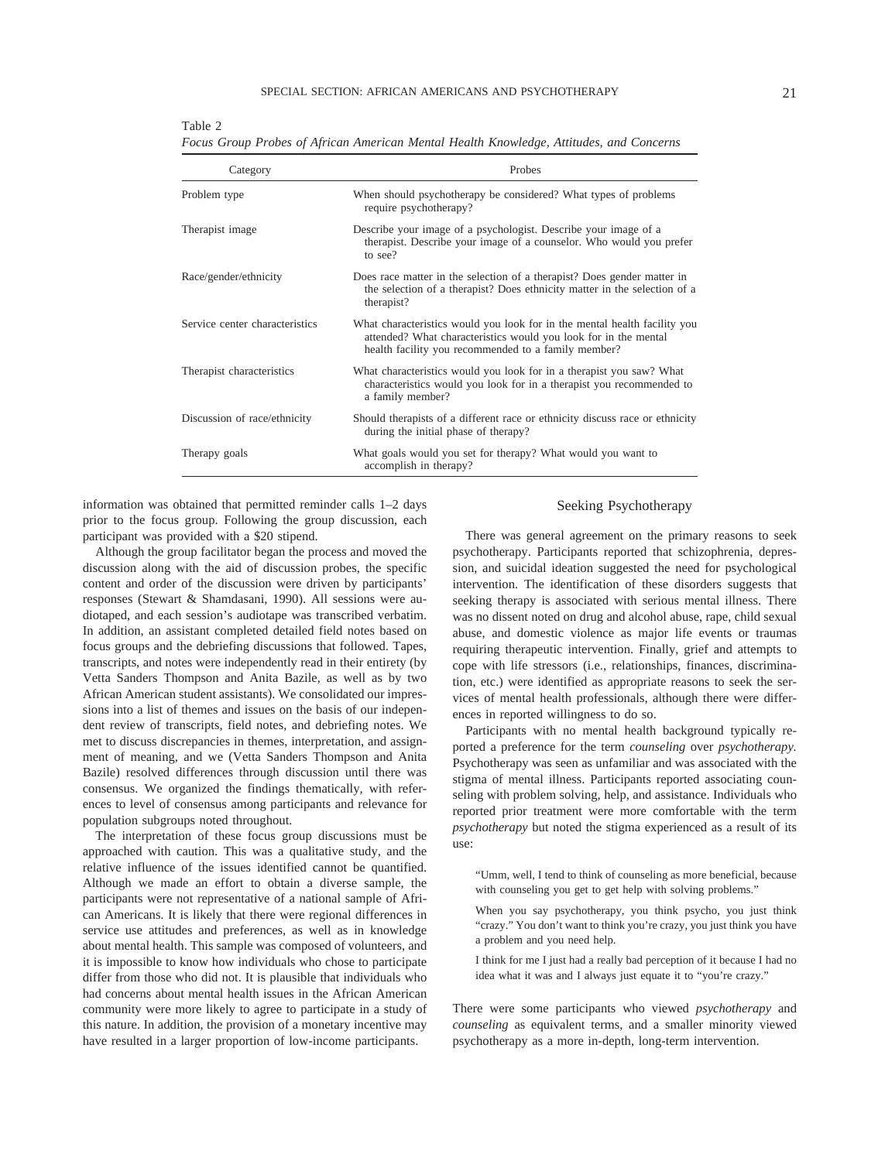|--|--|--|

Category Probes Problem type When should psychotherapy be considered? What types of problems require psychotherapy? Therapist image Describe your image of a psychologist. Describe your image of a therapist. Describe your image of a counselor. Who would you prefer to see? Race/gender/ethnicity Does race matter in the selection of a therapist? Does gender matter in the selection of a therapist? Does ethnicity matter in the selection of a therapist? Service center characteristics What characteristics would you look for in the mental health facility you attended? What characteristics would you look for in the mental health facility you recommended to a family member? Therapist characteristics What characteristics would you look for in a therapist you saw? What characteristics would you look for in a therapist you recommended to a family member? Discussion of race/ethnicity Should therapists of a different race or ethnicity discuss race or ethnicity during the initial phase of therapy? Therapy goals What goals would you set for therapy? What would you want to accomplish in therapy?

*Focus Group Probes of African American Mental Health Knowledge, Attitudes, and Concerns*

information was obtained that permitted reminder calls 1–2 days prior to the focus group. Following the group discussion, each participant was provided with a \$20 stipend.

Although the group facilitator began the process and moved the discussion along with the aid of discussion probes, the specific content and order of the discussion were driven by participants' responses (Stewart & Shamdasani, 1990). All sessions were audiotaped, and each session's audiotape was transcribed verbatim. In addition, an assistant completed detailed field notes based on focus groups and the debriefing discussions that followed. Tapes, transcripts, and notes were independently read in their entirety (by Vetta Sanders Thompson and Anita Bazile, as well as by two African American student assistants). We consolidated our impressions into a list of themes and issues on the basis of our independent review of transcripts, field notes, and debriefing notes. We met to discuss discrepancies in themes, interpretation, and assignment of meaning, and we (Vetta Sanders Thompson and Anita Bazile) resolved differences through discussion until there was consensus. We organized the findings thematically, with references to level of consensus among participants and relevance for population subgroups noted throughout.

The interpretation of these focus group discussions must be approached with caution. This was a qualitative study, and the relative influence of the issues identified cannot be quantified. Although we made an effort to obtain a diverse sample, the participants were not representative of a national sample of African Americans. It is likely that there were regional differences in service use attitudes and preferences, as well as in knowledge about mental health. This sample was composed of volunteers, and it is impossible to know how individuals who chose to participate differ from those who did not. It is plausible that individuals who had concerns about mental health issues in the African American community were more likely to agree to participate in a study of this nature. In addition, the provision of a monetary incentive may have resulted in a larger proportion of low-income participants.

# Seeking Psychotherapy

There was general agreement on the primary reasons to seek psychotherapy. Participants reported that schizophrenia, depression, and suicidal ideation suggested the need for psychological intervention. The identification of these disorders suggests that seeking therapy is associated with serious mental illness. There was no dissent noted on drug and alcohol abuse, rape, child sexual abuse, and domestic violence as major life events or traumas requiring therapeutic intervention. Finally, grief and attempts to cope with life stressors (i.e., relationships, finances, discrimination, etc.) were identified as appropriate reasons to seek the services of mental health professionals, although there were differences in reported willingness to do so.

Participants with no mental health background typically reported a preference for the term *counseling* over *psychotherapy.* Psychotherapy was seen as unfamiliar and was associated with the stigma of mental illness. Participants reported associating counseling with problem solving, help, and assistance. Individuals who reported prior treatment were more comfortable with the term *psychotherapy* but noted the stigma experienced as a result of its use:

"Umm, well, I tend to think of counseling as more beneficial, because with counseling you get to get help with solving problems."

- When you say psychotherapy, you think psycho, you just think "crazy." You don't want to think you're crazy, you just think you have a problem and you need help.
- I think for me I just had a really bad perception of it because I had no idea what it was and I always just equate it to "you're crazy."

There were some participants who viewed *psychotherapy* and *counseling* as equivalent terms, and a smaller minority viewed psychotherapy as a more in-depth, long-term intervention.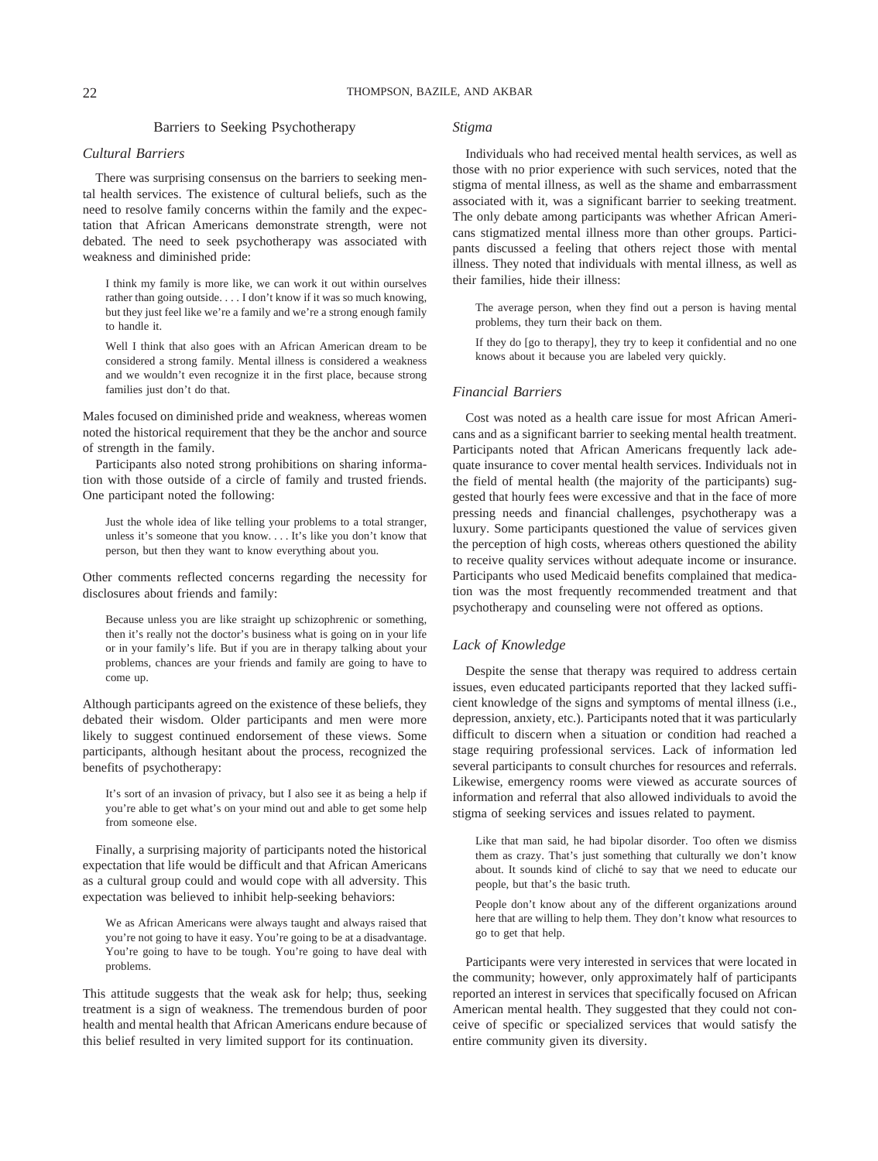#### *Cultural Barriers*

There was surprising consensus on the barriers to seeking mental health services. The existence of cultural beliefs, such as the need to resolve family concerns within the family and the expectation that African Americans demonstrate strength, were not debated. The need to seek psychotherapy was associated with weakness and diminished pride:

Barriers to Seeking Psychotherapy

I think my family is more like, we can work it out within ourselves rather than going outside. . . . I don't know if it was so much knowing, but they just feel like we're a family and we're a strong enough family to handle it.

Well I think that also goes with an African American dream to be considered a strong family. Mental illness is considered a weakness and we wouldn't even recognize it in the first place, because strong families just don't do that.

Males focused on diminished pride and weakness, whereas women noted the historical requirement that they be the anchor and source of strength in the family.

Participants also noted strong prohibitions on sharing information with those outside of a circle of family and trusted friends. One participant noted the following:

Just the whole idea of like telling your problems to a total stranger, unless it's someone that you know. . . . It's like you don't know that person, but then they want to know everything about you.

Other comments reflected concerns regarding the necessity for disclosures about friends and family:

Because unless you are like straight up schizophrenic or something, then it's really not the doctor's business what is going on in your life or in your family's life. But if you are in therapy talking about your problems, chances are your friends and family are going to have to come up.

Although participants agreed on the existence of these beliefs, they debated their wisdom. Older participants and men were more likely to suggest continued endorsement of these views. Some participants, although hesitant about the process, recognized the benefits of psychotherapy:

It's sort of an invasion of privacy, but I also see it as being a help if you're able to get what's on your mind out and able to get some help from someone else.

Finally, a surprising majority of participants noted the historical expectation that life would be difficult and that African Americans as a cultural group could and would cope with all adversity. This expectation was believed to inhibit help-seeking behaviors:

We as African Americans were always taught and always raised that you're not going to have it easy. You're going to be at a disadvantage. You're going to have to be tough. You're going to have deal with problems.

This attitude suggests that the weak ask for help; thus, seeking treatment is a sign of weakness. The tremendous burden of poor health and mental health that African Americans endure because of this belief resulted in very limited support for its continuation.

#### *Stigma*

Individuals who had received mental health services, as well as those with no prior experience with such services, noted that the stigma of mental illness, as well as the shame and embarrassment associated with it, was a significant barrier to seeking treatment. The only debate among participants was whether African Americans stigmatized mental illness more than other groups. Participants discussed a feeling that others reject those with mental illness. They noted that individuals with mental illness, as well as their families, hide their illness:

The average person, when they find out a person is having mental problems, they turn their back on them.

If they do [go to therapy], they try to keep it confidential and no one knows about it because you are labeled very quickly.

# *Financial Barriers*

Cost was noted as a health care issue for most African Americans and as a significant barrier to seeking mental health treatment. Participants noted that African Americans frequently lack adequate insurance to cover mental health services. Individuals not in the field of mental health (the majority of the participants) suggested that hourly fees were excessive and that in the face of more pressing needs and financial challenges, psychotherapy was a luxury. Some participants questioned the value of services given the perception of high costs, whereas others questioned the ability to receive quality services without adequate income or insurance. Participants who used Medicaid benefits complained that medication was the most frequently recommended treatment and that psychotherapy and counseling were not offered as options.

# *Lack of Knowledge*

Despite the sense that therapy was required to address certain issues, even educated participants reported that they lacked sufficient knowledge of the signs and symptoms of mental illness (i.e., depression, anxiety, etc.). Participants noted that it was particularly difficult to discern when a situation or condition had reached a stage requiring professional services. Lack of information led several participants to consult churches for resources and referrals. Likewise, emergency rooms were viewed as accurate sources of information and referral that also allowed individuals to avoid the stigma of seeking services and issues related to payment.

Like that man said, he had bipolar disorder. Too often we dismiss them as crazy. That's just something that culturally we don't know about. It sounds kind of cliché to say that we need to educate our people, but that's the basic truth.

People don't know about any of the different organizations around here that are willing to help them. They don't know what resources to go to get that help.

Participants were very interested in services that were located in the community; however, only approximately half of participants reported an interest in services that specifically focused on African American mental health. They suggested that they could not conceive of specific or specialized services that would satisfy the entire community given its diversity.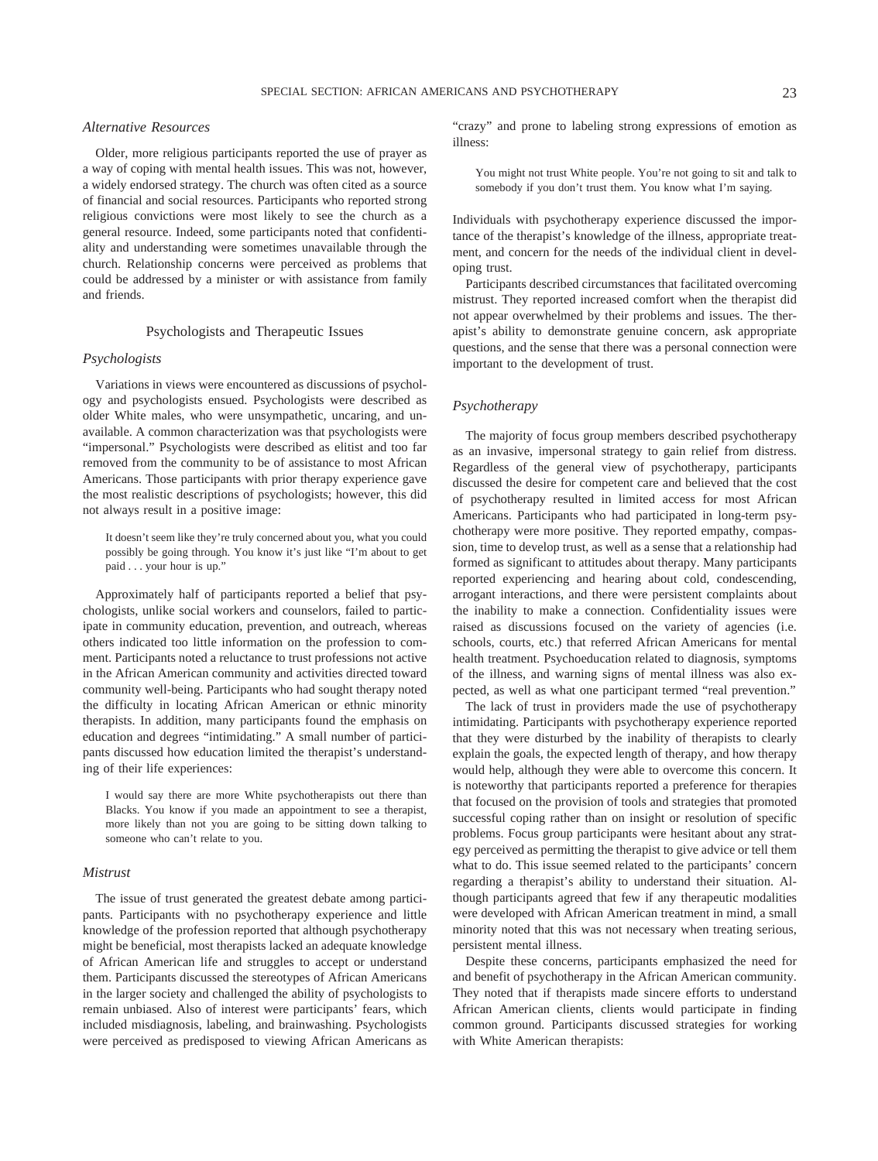# *Alternative Resources*

Older, more religious participants reported the use of prayer as a way of coping with mental health issues. This was not, however, a widely endorsed strategy. The church was often cited as a source of financial and social resources. Participants who reported strong religious convictions were most likely to see the church as a general resource. Indeed, some participants noted that confidentiality and understanding were sometimes unavailable through the church. Relationship concerns were perceived as problems that could be addressed by a minister or with assistance from family and friends.

## Psychologists and Therapeutic Issues

#### *Psychologists*

Variations in views were encountered as discussions of psychology and psychologists ensued. Psychologists were described as older White males, who were unsympathetic, uncaring, and unavailable. A common characterization was that psychologists were "impersonal." Psychologists were described as elitist and too far removed from the community to be of assistance to most African Americans. Those participants with prior therapy experience gave the most realistic descriptions of psychologists; however, this did not always result in a positive image:

It doesn't seem like they're truly concerned about you, what you could possibly be going through. You know it's just like "I'm about to get paid . . . your hour is up."

Approximately half of participants reported a belief that psychologists, unlike social workers and counselors, failed to participate in community education, prevention, and outreach, whereas others indicated too little information on the profession to comment. Participants noted a reluctance to trust professions not active in the African American community and activities directed toward community well-being. Participants who had sought therapy noted the difficulty in locating African American or ethnic minority therapists. In addition, many participants found the emphasis on education and degrees "intimidating." A small number of participants discussed how education limited the therapist's understanding of their life experiences:

I would say there are more White psychotherapists out there than Blacks. You know if you made an appointment to see a therapist, more likely than not you are going to be sitting down talking to someone who can't relate to you.

# *Mistrust*

The issue of trust generated the greatest debate among participants. Participants with no psychotherapy experience and little knowledge of the profession reported that although psychotherapy might be beneficial, most therapists lacked an adequate knowledge of African American life and struggles to accept or understand them. Participants discussed the stereotypes of African Americans in the larger society and challenged the ability of psychologists to remain unbiased. Also of interest were participants' fears, which included misdiagnosis, labeling, and brainwashing. Psychologists were perceived as predisposed to viewing African Americans as "crazy" and prone to labeling strong expressions of emotion as illness:

You might not trust White people. You're not going to sit and talk to somebody if you don't trust them. You know what I'm saying.

Individuals with psychotherapy experience discussed the importance of the therapist's knowledge of the illness, appropriate treatment, and concern for the needs of the individual client in developing trust.

Participants described circumstances that facilitated overcoming mistrust. They reported increased comfort when the therapist did not appear overwhelmed by their problems and issues. The therapist's ability to demonstrate genuine concern, ask appropriate questions, and the sense that there was a personal connection were important to the development of trust.

# *Psychotherapy*

The majority of focus group members described psychotherapy as an invasive, impersonal strategy to gain relief from distress. Regardless of the general view of psychotherapy, participants discussed the desire for competent care and believed that the cost of psychotherapy resulted in limited access for most African Americans. Participants who had participated in long-term psychotherapy were more positive. They reported empathy, compassion, time to develop trust, as well as a sense that a relationship had formed as significant to attitudes about therapy. Many participants reported experiencing and hearing about cold, condescending, arrogant interactions, and there were persistent complaints about the inability to make a connection. Confidentiality issues were raised as discussions focused on the variety of agencies (i.e. schools, courts, etc.) that referred African Americans for mental health treatment. Psychoeducation related to diagnosis, symptoms of the illness, and warning signs of mental illness was also expected, as well as what one participant termed "real prevention."

The lack of trust in providers made the use of psychotherapy intimidating. Participants with psychotherapy experience reported that they were disturbed by the inability of therapists to clearly explain the goals, the expected length of therapy, and how therapy would help, although they were able to overcome this concern. It is noteworthy that participants reported a preference for therapies that focused on the provision of tools and strategies that promoted successful coping rather than on insight or resolution of specific problems. Focus group participants were hesitant about any strategy perceived as permitting the therapist to give advice or tell them what to do. This issue seemed related to the participants' concern regarding a therapist's ability to understand their situation. Although participants agreed that few if any therapeutic modalities were developed with African American treatment in mind, a small minority noted that this was not necessary when treating serious, persistent mental illness.

Despite these concerns, participants emphasized the need for and benefit of psychotherapy in the African American community. They noted that if therapists made sincere efforts to understand African American clients, clients would participate in finding common ground. Participants discussed strategies for working with White American therapists: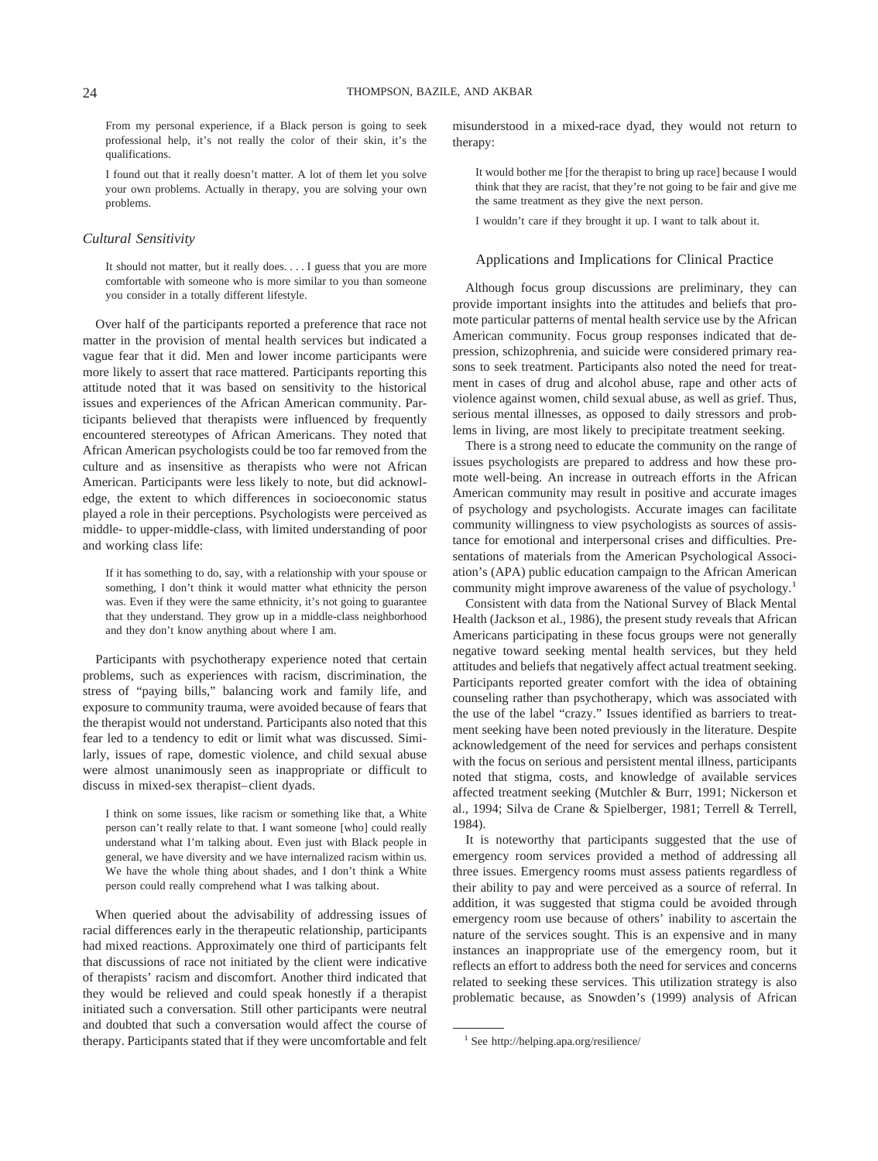From my personal experience, if a Black person is going to seek professional help, it's not really the color of their skin, it's the qualifications.

I found out that it really doesn't matter. A lot of them let you solve your own problems. Actually in therapy, you are solving your own problems.

#### *Cultural Sensitivity*

It should not matter, but it really does....I guess that you are more comfortable with someone who is more similar to you than someone you consider in a totally different lifestyle.

Over half of the participants reported a preference that race not matter in the provision of mental health services but indicated a vague fear that it did. Men and lower income participants were more likely to assert that race mattered. Participants reporting this attitude noted that it was based on sensitivity to the historical issues and experiences of the African American community. Participants believed that therapists were influenced by frequently encountered stereotypes of African Americans. They noted that African American psychologists could be too far removed from the culture and as insensitive as therapists who were not African American. Participants were less likely to note, but did acknowledge, the extent to which differences in socioeconomic status played a role in their perceptions. Psychologists were perceived as middle- to upper-middle-class, with limited understanding of poor and working class life:

If it has something to do, say, with a relationship with your spouse or something, I don't think it would matter what ethnicity the person was. Even if they were the same ethnicity, it's not going to guarantee that they understand. They grow up in a middle-class neighborhood and they don't know anything about where I am.

Participants with psychotherapy experience noted that certain problems, such as experiences with racism, discrimination, the stress of "paying bills," balancing work and family life, and exposure to community trauma, were avoided because of fears that the therapist would not understand. Participants also noted that this fear led to a tendency to edit or limit what was discussed. Similarly, issues of rape, domestic violence, and child sexual abuse were almost unanimously seen as inappropriate or difficult to discuss in mixed-sex therapist–client dyads.

I think on some issues, like racism or something like that, a White person can't really relate to that. I want someone [who] could really understand what I'm talking about. Even just with Black people in general, we have diversity and we have internalized racism within us. We have the whole thing about shades, and I don't think a White person could really comprehend what I was talking about.

When queried about the advisability of addressing issues of racial differences early in the therapeutic relationship, participants had mixed reactions. Approximately one third of participants felt that discussions of race not initiated by the client were indicative of therapists' racism and discomfort. Another third indicated that they would be relieved and could speak honestly if a therapist initiated such a conversation. Still other participants were neutral and doubted that such a conversation would affect the course of therapy. Participants stated that if they were uncomfortable and felt

misunderstood in a mixed-race dyad, they would not return to therapy:

It would bother me [for the therapist to bring up race] because I would think that they are racist, that they're not going to be fair and give me the same treatment as they give the next person.

I wouldn't care if they brought it up. I want to talk about it.

## Applications and Implications for Clinical Practice

Although focus group discussions are preliminary, they can provide important insights into the attitudes and beliefs that promote particular patterns of mental health service use by the African American community. Focus group responses indicated that depression, schizophrenia, and suicide were considered primary reasons to seek treatment. Participants also noted the need for treatment in cases of drug and alcohol abuse, rape and other acts of violence against women, child sexual abuse, as well as grief. Thus, serious mental illnesses, as opposed to daily stressors and problems in living, are most likely to precipitate treatment seeking.

There is a strong need to educate the community on the range of issues psychologists are prepared to address and how these promote well-being. An increase in outreach efforts in the African American community may result in positive and accurate images of psychology and psychologists. Accurate images can facilitate community willingness to view psychologists as sources of assistance for emotional and interpersonal crises and difficulties. Presentations of materials from the American Psychological Association's (APA) public education campaign to the African American community might improve awareness of the value of psychology.<sup>1</sup>

Consistent with data from the National Survey of Black Mental Health (Jackson et al., 1986), the present study reveals that African Americans participating in these focus groups were not generally negative toward seeking mental health services, but they held attitudes and beliefs that negatively affect actual treatment seeking. Participants reported greater comfort with the idea of obtaining counseling rather than psychotherapy, which was associated with the use of the label "crazy." Issues identified as barriers to treatment seeking have been noted previously in the literature. Despite acknowledgement of the need for services and perhaps consistent with the focus on serious and persistent mental illness, participants noted that stigma, costs, and knowledge of available services affected treatment seeking (Mutchler & Burr, 1991; Nickerson et al., 1994; Silva de Crane & Spielberger, 1981; Terrell & Terrell, 1984).

It is noteworthy that participants suggested that the use of emergency room services provided a method of addressing all three issues. Emergency rooms must assess patients regardless of their ability to pay and were perceived as a source of referral. In addition, it was suggested that stigma could be avoided through emergency room use because of others' inability to ascertain the nature of the services sought. This is an expensive and in many instances an inappropriate use of the emergency room, but it reflects an effort to address both the need for services and concerns related to seeking these services. This utilization strategy is also problematic because, as Snowden's (1999) analysis of African

<sup>1</sup> See http://helping.apa.org/resilience/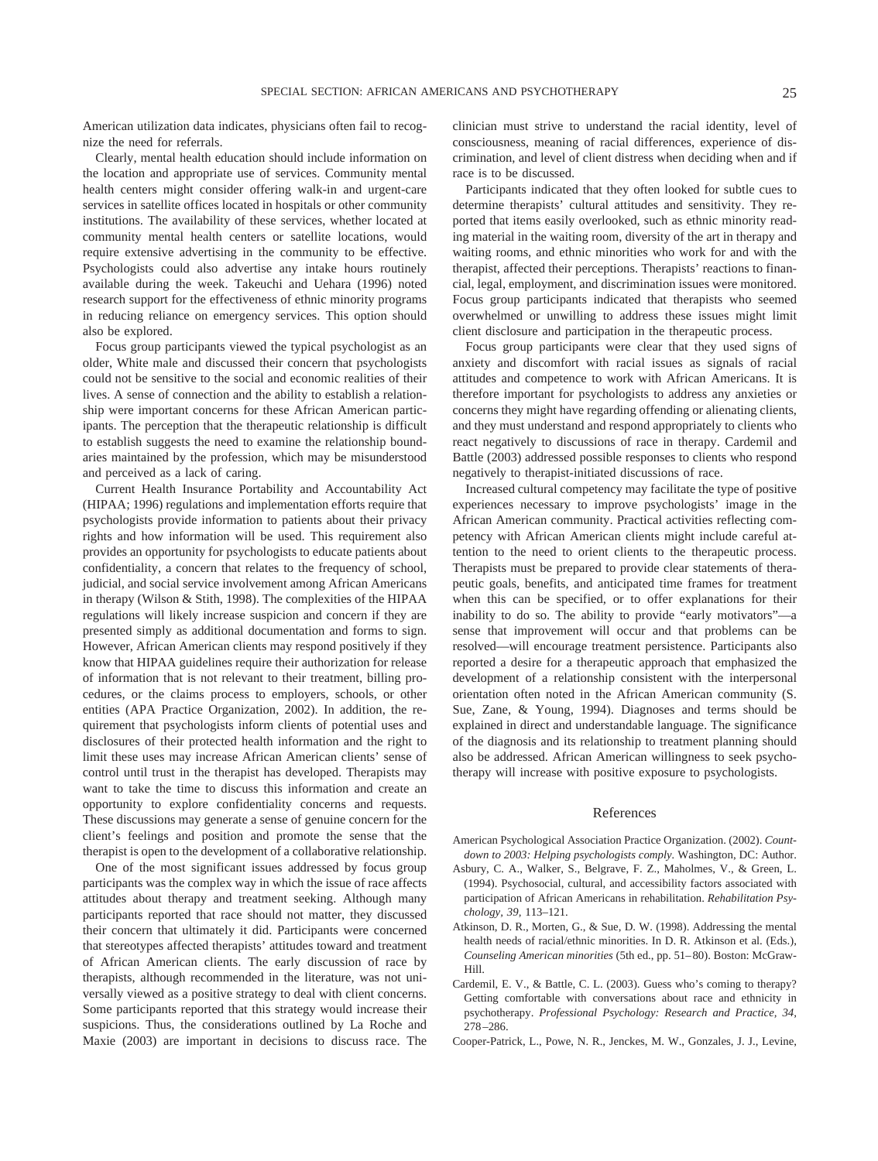American utilization data indicates, physicians often fail to recognize the need for referrals.

Clearly, mental health education should include information on the location and appropriate use of services. Community mental health centers might consider offering walk-in and urgent-care services in satellite offices located in hospitals or other community institutions. The availability of these services, whether located at community mental health centers or satellite locations, would require extensive advertising in the community to be effective. Psychologists could also advertise any intake hours routinely available during the week. Takeuchi and Uehara (1996) noted research support for the effectiveness of ethnic minority programs in reducing reliance on emergency services. This option should also be explored.

Focus group participants viewed the typical psychologist as an older, White male and discussed their concern that psychologists could not be sensitive to the social and economic realities of their lives. A sense of connection and the ability to establish a relationship were important concerns for these African American participants. The perception that the therapeutic relationship is difficult to establish suggests the need to examine the relationship boundaries maintained by the profession, which may be misunderstood and perceived as a lack of caring.

Current Health Insurance Portability and Accountability Act (HIPAA; 1996) regulations and implementation efforts require that psychologists provide information to patients about their privacy rights and how information will be used. This requirement also provides an opportunity for psychologists to educate patients about confidentiality, a concern that relates to the frequency of school, judicial, and social service involvement among African Americans in therapy (Wilson & Stith, 1998). The complexities of the HIPAA regulations will likely increase suspicion and concern if they are presented simply as additional documentation and forms to sign. However, African American clients may respond positively if they know that HIPAA guidelines require their authorization for release of information that is not relevant to their treatment, billing procedures, or the claims process to employers, schools, or other entities (APA Practice Organization, 2002). In addition, the requirement that psychologists inform clients of potential uses and disclosures of their protected health information and the right to limit these uses may increase African American clients' sense of control until trust in the therapist has developed. Therapists may want to take the time to discuss this information and create an opportunity to explore confidentiality concerns and requests. These discussions may generate a sense of genuine concern for the client's feelings and position and promote the sense that the therapist is open to the development of a collaborative relationship.

One of the most significant issues addressed by focus group participants was the complex way in which the issue of race affects attitudes about therapy and treatment seeking. Although many participants reported that race should not matter, they discussed their concern that ultimately it did. Participants were concerned that stereotypes affected therapists' attitudes toward and treatment of African American clients. The early discussion of race by therapists, although recommended in the literature, was not universally viewed as a positive strategy to deal with client concerns. Some participants reported that this strategy would increase their suspicions. Thus, the considerations outlined by La Roche and Maxie (2003) are important in decisions to discuss race. The clinician must strive to understand the racial identity, level of consciousness, meaning of racial differences, experience of discrimination, and level of client distress when deciding when and if race is to be discussed.

Participants indicated that they often looked for subtle cues to determine therapists' cultural attitudes and sensitivity. They reported that items easily overlooked, such as ethnic minority reading material in the waiting room, diversity of the art in therapy and waiting rooms, and ethnic minorities who work for and with the therapist, affected their perceptions. Therapists' reactions to financial, legal, employment, and discrimination issues were monitored. Focus group participants indicated that therapists who seemed overwhelmed or unwilling to address these issues might limit client disclosure and participation in the therapeutic process.

Focus group participants were clear that they used signs of anxiety and discomfort with racial issues as signals of racial attitudes and competence to work with African Americans. It is therefore important for psychologists to address any anxieties or concerns they might have regarding offending or alienating clients, and they must understand and respond appropriately to clients who react negatively to discussions of race in therapy. Cardemil and Battle (2003) addressed possible responses to clients who respond negatively to therapist-initiated discussions of race.

Increased cultural competency may facilitate the type of positive experiences necessary to improve psychologists' image in the African American community. Practical activities reflecting competency with African American clients might include careful attention to the need to orient clients to the therapeutic process. Therapists must be prepared to provide clear statements of therapeutic goals, benefits, and anticipated time frames for treatment when this can be specified, or to offer explanations for their inability to do so. The ability to provide "early motivators"—a sense that improvement will occur and that problems can be resolved—will encourage treatment persistence. Participants also reported a desire for a therapeutic approach that emphasized the development of a relationship consistent with the interpersonal orientation often noted in the African American community (S. Sue, Zane, & Young, 1994). Diagnoses and terms should be explained in direct and understandable language. The significance of the diagnosis and its relationship to treatment planning should also be addressed. African American willingness to seek psychotherapy will increase with positive exposure to psychologists.

#### References

- American Psychological Association Practice Organization. (2002). *Countdown to 2003: Helping psychologists comply.* Washington, DC: Author.
- Asbury, C. A., Walker, S., Belgrave, F. Z., Maholmes, V., & Green, L. (1994). Psychosocial, cultural, and accessibility factors associated with participation of African Americans in rehabilitation. *Rehabilitation Psychology, 39,* 113–121.
- Atkinson, D. R., Morten, G., & Sue, D. W. (1998). Addressing the mental health needs of racial/ethnic minorities. In D. R. Atkinson et al. (Eds.), *Counseling American minorities* (5th ed., pp. 51–80). Boston: McGraw-Hill.
- Cardemil, E. V., & Battle, C. L. (2003). Guess who's coming to therapy? Getting comfortable with conversations about race and ethnicity in psychotherapy. *Professional Psychology: Research and Practice, 34,* 278–286.
- Cooper-Patrick, L., Powe, N. R., Jenckes, M. W., Gonzales, J. J., Levine,